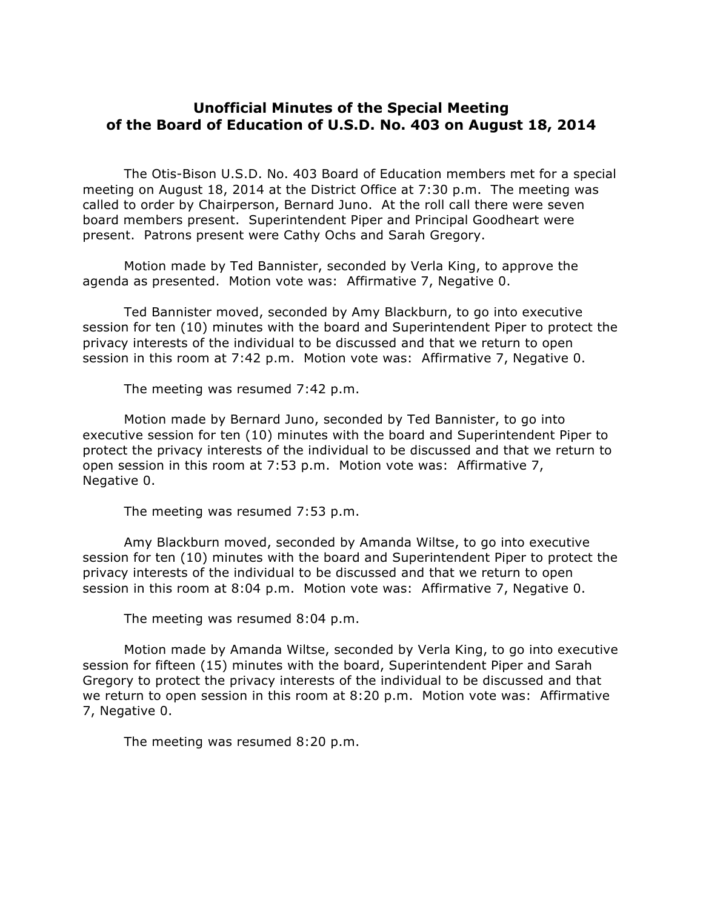## **Unofficial Minutes of the Special Meeting of the Board of Education of U.S.D. No. 403 on August 18, 2014**

The Otis-Bison U.S.D. No. 403 Board of Education members met for a special meeting on August 18, 2014 at the District Office at 7:30 p.m. The meeting was called to order by Chairperson, Bernard Juno. At the roll call there were seven board members present. Superintendent Piper and Principal Goodheart were present. Patrons present were Cathy Ochs and Sarah Gregory.

Motion made by Ted Bannister, seconded by Verla King, to approve the agenda as presented. Motion vote was: Affirmative 7, Negative 0.

Ted Bannister moved, seconded by Amy Blackburn, to go into executive session for ten (10) minutes with the board and Superintendent Piper to protect the privacy interests of the individual to be discussed and that we return to open session in this room at 7:42 p.m. Motion vote was: Affirmative 7, Negative 0.

The meeting was resumed 7:42 p.m.

Motion made by Bernard Juno, seconded by Ted Bannister, to go into executive session for ten (10) minutes with the board and Superintendent Piper to protect the privacy interests of the individual to be discussed and that we return to open session in this room at 7:53 p.m. Motion vote was: Affirmative 7, Negative 0.

The meeting was resumed 7:53 p.m.

Amy Blackburn moved, seconded by Amanda Wiltse, to go into executive session for ten (10) minutes with the board and Superintendent Piper to protect the privacy interests of the individual to be discussed and that we return to open session in this room at 8:04 p.m. Motion vote was: Affirmative 7, Negative 0.

The meeting was resumed 8:04 p.m.

Motion made by Amanda Wiltse, seconded by Verla King, to go into executive session for fifteen (15) minutes with the board, Superintendent Piper and Sarah Gregory to protect the privacy interests of the individual to be discussed and that we return to open session in this room at 8:20 p.m. Motion vote was: Affirmative 7, Negative 0.

The meeting was resumed 8:20 p.m.